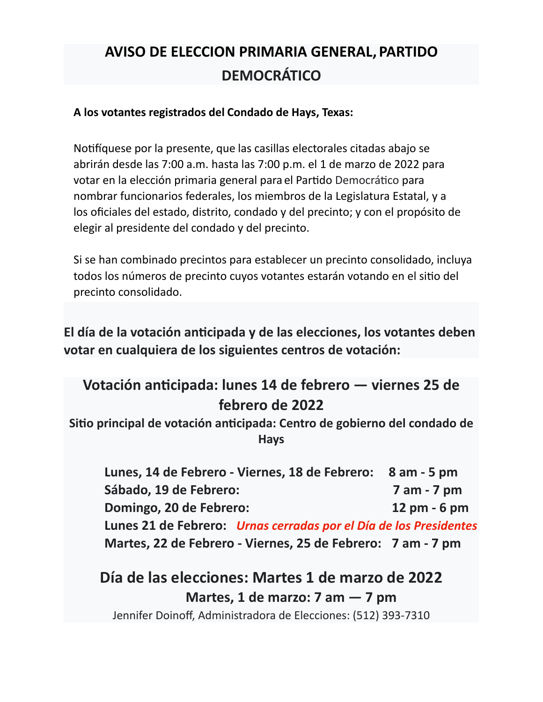## **AVISO DE ELECCION PRIMARIA GENERAL, PARTIDO DEMOCRÁTICO**

## **A los votantes registrados del Condado de Hays, Texas:**

Notifíquese por la presente, que las casillas electorales citadas abajo se abrirán desde las 7:00 a.m. hasta las 7:00 p.m. el 1 de marzo de 2022 para votar en la elección primaria general para el Partido Democrático para nombrar funcionarios federales, los miembros de la Legislatura Estatal, y a los oficiales del estado, distrito, condado y del precinto; y con el propósito de elegir al presidente del condado y del precinto.

Si se han combinado precintos para establecer un precinto consolidado, incluya todos los números de precinto cuyos votantes estarán votando en el sitio del precinto consolidado.

**El día de la votación anticipada y de las elecciones, los votantes deben votar en cualquiera de los siguientes centros de votación:**

## **Votación anticipada: lunes 14 de febrero — viernes 25 de febrero de 2022**

**Sitio principal de votación anticipada: Centro de gobierno del condado de Hays**

**Lunes, 14 de Febrero - Viernes, 18 de Febrero: 8 am - 5 pm Sábado, 19 de Febrero: 7 am - 7 pm Domingo, 20 de Febrero: 12 pm - 6 pm Lunes 21 de Febrero:** *Urnas cerradas por el Día de los Presidentes* **Martes, 22 de Febrero - Viernes, 25 de Febrero: 7 am - 7 pm**

**Día de las elecciones: Martes 1 de marzo de 2022 Martes, 1 de marzo: 7 am — 7 pm**

Jennifer Doinoff, Administradora de Elecciones: (512) 393-7310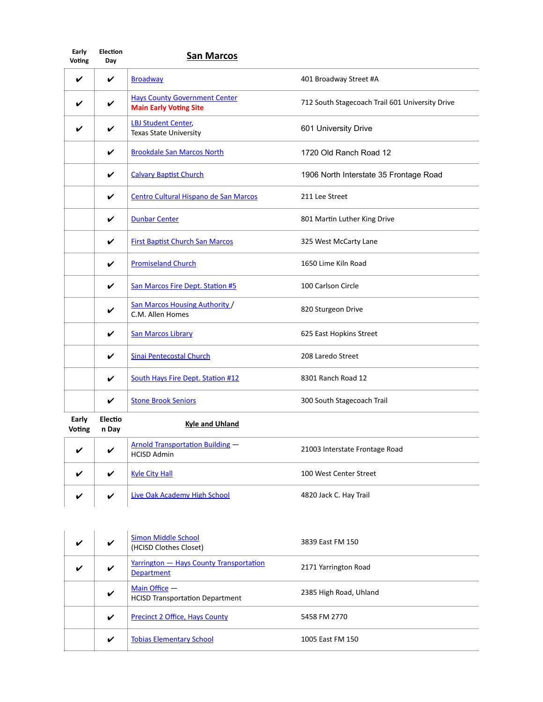| Early<br><b>Voting</b> | <b>Election</b><br>Day  | <b>San Marcos</b>                                                     |                                                 |
|------------------------|-------------------------|-----------------------------------------------------------------------|-------------------------------------------------|
| V                      | $\checkmark$            | <b>Broadway</b>                                                       | 401 Broadway Street #A                          |
|                        | V                       | <b>Hays County Government Center</b><br><b>Main Early Voting Site</b> | 712 South Stagecoach Trail 601 University Drive |
|                        |                         | <b>LBJ Student Center,</b><br><b>Texas State University</b>           | 601 University Drive                            |
|                        | V                       | <b>Brookdale San Marcos North</b>                                     | 1720 Old Ranch Road 12                          |
|                        | V                       | <b>Calvary Baptist Church</b>                                         | 1906 North Interstate 35 Frontage Road          |
|                        | V                       | Centro Cultural Hispano de San Marcos                                 | 211 Lee Street                                  |
|                        | V                       | <b>Dunbar Center</b>                                                  | 801 Martin Luther King Drive                    |
|                        | V                       | <b>First Baptist Church San Marcos</b>                                | 325 West McCarty Lane                           |
|                        | V                       | <b>Promiseland Church</b>                                             | 1650 Lime Kiln Road                             |
|                        | V                       | San Marcos Fire Dept. Station #5                                      | 100 Carlson Circle                              |
|                        | V                       | San Marcos Housing Authority /<br>C.M. Allen Homes                    | 820 Sturgeon Drive                              |
|                        | V                       | <b>San Marcos Library</b>                                             | 625 East Hopkins Street                         |
|                        | ✓                       | <b>Sinai Pentecostal Church</b>                                       | 208 Laredo Street                               |
|                        | V                       | South Hays Fire Dept. Station #12                                     | 8301 Ranch Road 12                              |
|                        | V                       | <b>Stone Brook Seniors</b>                                            | 300 South Stagecoach Trail                      |
| Early<br>Voting        | <b>Electio</b><br>n Day | <b>Kyle and Uhland</b>                                                |                                                 |
|                        | V                       | <b>Arnold Transportation Building -</b><br><b>HCISD Admin</b>         | 21003 Interstate Frontage Road                  |

| v | Kyle City Hall                      | 100 West Center Street |
|---|-------------------------------------|------------------------|
| ✔ | <b>Live Oak Academy High School</b> | 4820 Jack C. Hay Trail |

| ✔ | V | Simon Middle School<br>(HCISD Clothes Closet)                | 3839 East FM 150       |
|---|---|--------------------------------------------------------------|------------------------|
| V | V | Yarrington - Hays County Transportation<br><b>Department</b> | 2171 Yarrington Road   |
|   | V | Main Office $-$<br><b>HCISD Transportation Department</b>    | 2385 High Road, Uhland |
|   | V | Precinct 2 Office, Hays County                               | 5458 FM 2770           |
|   | V | <b>Tobias Elementary School</b>                              | 1005 East FM 150       |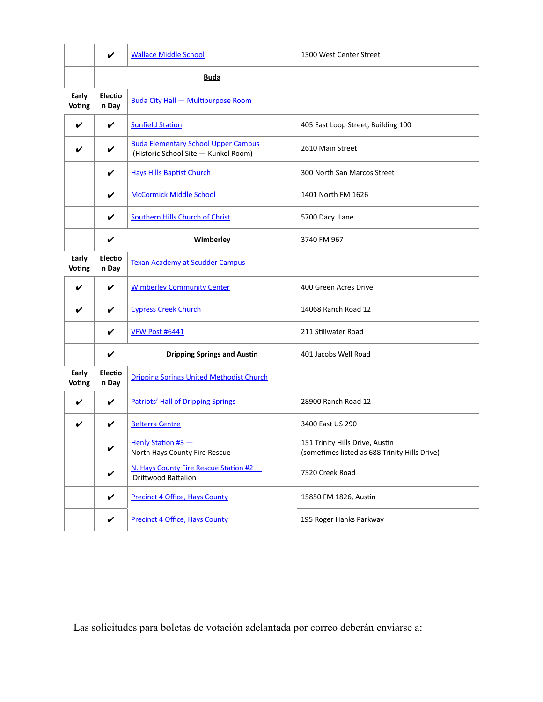|                 | V                | <b>Wallace Middle School</b>                                                       | 1500 West Center Street                                                          |
|-----------------|------------------|------------------------------------------------------------------------------------|----------------------------------------------------------------------------------|
|                 | <b>Buda</b>      |                                                                                    |                                                                                  |
| Early<br>Voting | Electio<br>n Day | <b>Buda City Hall - Multipurpose Room</b>                                          |                                                                                  |
| ✓               | V                | <b>Sunfield Station</b>                                                            | 405 East Loop Street, Building 100                                               |
|                 | V                | <b>Buda Elementary School Upper Campus</b><br>(Historic School Site - Kunkel Room) | 2610 Main Street                                                                 |
|                 | V                | <b>Hays Hills Baptist Church</b>                                                   | 300 North San Marcos Street                                                      |
|                 | V                | <b>McCormick Middle School</b>                                                     | 1401 North FM 1626                                                               |
|                 | V                | Southern Hills Church of Christ                                                    | 5700 Dacy Lane                                                                   |
|                 | $\checkmark$     | Wimberley                                                                          | 3740 FM 967                                                                      |
| Early<br>Voting | Electio<br>n Day | <b>Texan Academy at Scudder Campus</b>                                             |                                                                                  |
| ✓               | V                | <b>Wimberley Community Center</b>                                                  | 400 Green Acres Drive                                                            |
|                 | V                | <b>Cypress Creek Church</b>                                                        | 14068 Ranch Road 12                                                              |
|                 | V                | VFW Post #6441                                                                     | 211 Stillwater Road                                                              |
|                 | V                | <b>Dripping Springs and Austin</b>                                                 | 401 Jacobs Well Road                                                             |
| Early<br>Voting | Electio<br>n Day | <b>Dripping Springs United Methodist Church</b>                                    |                                                                                  |
| ✔               | V                | <b>Patriots' Hall of Dripping Springs</b>                                          | 28900 Ranch Road 12                                                              |
|                 | V                | <b>Belterra Centre</b>                                                             | 3400 East US 290                                                                 |
|                 | V                | Henly Station #3 -<br>North Hays County Fire Rescue                                | 151 Trinity Hills Drive, Austin<br>(sometimes listed as 688 Trinity Hills Drive) |
|                 | V                | N. Hays County Fire Rescue Station #2 -<br>Driftwood Battalion                     | 7520 Creek Road                                                                  |
|                 | V                | <b>Precinct 4 Office, Hays County</b>                                              | 15850 FM 1826, Austin                                                            |
|                 | V                | <b>Precinct 4 Office, Hays County</b>                                              | 195 Roger Hanks Parkway                                                          |

Las solicitudes para boletas de votación adelantada por correo deberán enviarse a: